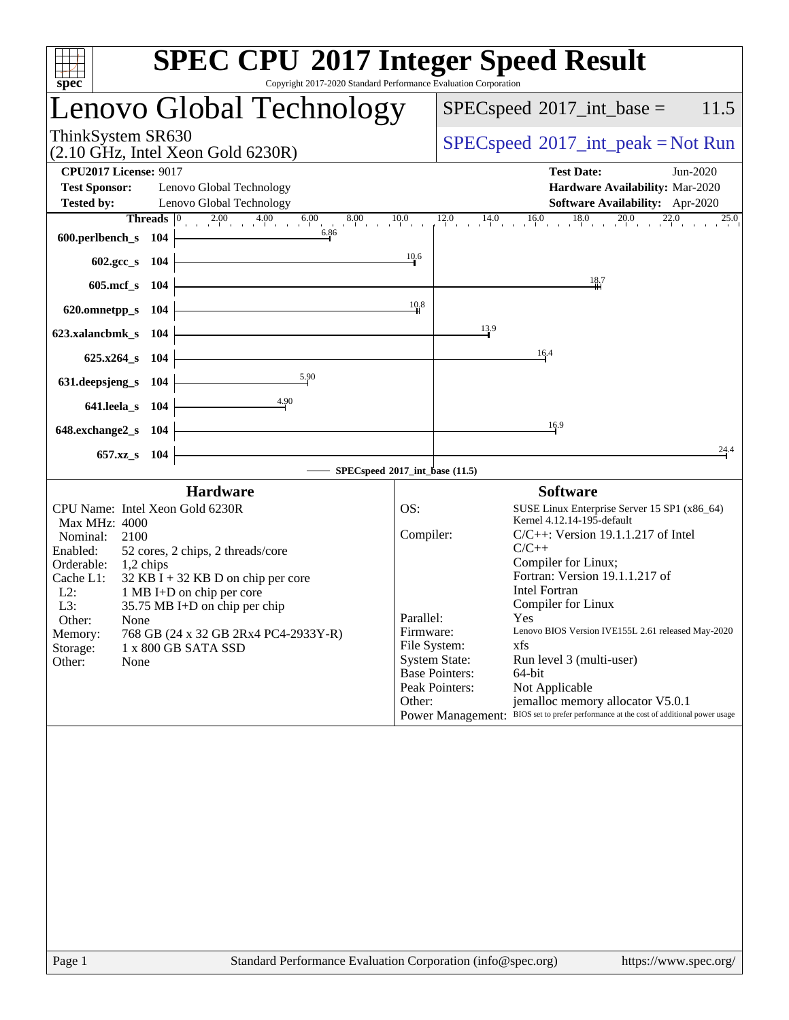| spec <sup>®</sup>                        | <b>SPEC CPU®2017 Integer Speed Result</b><br>Copyright 2017-2020 Standard Performance Evaluation Corporation                                          |           |                                                                                                  |
|------------------------------------------|-------------------------------------------------------------------------------------------------------------------------------------------------------|-----------|--------------------------------------------------------------------------------------------------|
|                                          | Lenovo Global Technology                                                                                                                              |           | 11.5<br>$SPEC speed^{\circ}2017\_int\_base =$                                                    |
| ThinkSystem SR630                        | $(2.10 \text{ GHz}, \text{Intel Xeon Gold } 6230\text{R})$                                                                                            |           | $SPEC speed^{\circ}2017\_int\_peak = Not Run$                                                    |
| <b>CPU2017 License: 9017</b>             |                                                                                                                                                       |           | <b>Test Date:</b><br>Jun-2020                                                                    |
| <b>Test Sponsor:</b>                     | Lenovo Global Technology                                                                                                                              |           | Hardware Availability: Mar-2020                                                                  |
| <b>Tested by:</b>                        | Lenovo Global Technology                                                                                                                              |           | Software Availability: Apr-2020                                                                  |
| 600.perlbench_s 104                      | <b>Threads</b> $\begin{array}{ccc c}\n0 & 2.00 & 4.00 & 6.00 & 8.00 & 10.0 \\ \hline\n\end{array}$<br>6.86<br><u> 1989 - Johann Barbara, martxa a</u> |           | $12.0$ 14.0 16.0 18.0 20.0 22.0 25.0                                                             |
| 602.gcc_s $104$                          |                                                                                                                                                       | 10.6      |                                                                                                  |
| 605.mcf_s 104                            |                                                                                                                                                       |           | 18.7                                                                                             |
| 620.omnetpp_s $104$                      |                                                                                                                                                       | 10,8      |                                                                                                  |
| 623.xalancbmk_s 104                      |                                                                                                                                                       |           | 13.9                                                                                             |
| $625.x264$ <sub>S</sub> 104              |                                                                                                                                                       |           | 16.4                                                                                             |
| 631.deepsjeng_s 104                      | 5.90                                                                                                                                                  |           |                                                                                                  |
| 641.leela_s 104                          | 4.90                                                                                                                                                  |           |                                                                                                  |
| $648$ .exchange $2$ <sub>_S</sub> 104    | <u> 1989 - Johann Barn, amerikansk politiker (</u>                                                                                                    |           | 16.9                                                                                             |
| 657.xz_s 104                             |                                                                                                                                                       |           | 24.4                                                                                             |
|                                          | - SPECspeed®2017_int_base (11.5)                                                                                                                      |           |                                                                                                  |
|                                          | <b>Hardware</b>                                                                                                                                       |           | <b>Software</b>                                                                                  |
|                                          | CPU Name: Intel Xeon Gold 6230R                                                                                                                       | OS:       | SUSE Linux Enterprise Server 15 SP1 (x86_64)                                                     |
| <b>Max MHz: 4000</b><br>Nominal:<br>2100 |                                                                                                                                                       | Compiler: | Kernel 4.12.14-195-default<br>$C/C++$ : Version 19.1.1.217 of Intel                              |
| Enabled:                                 | 52 cores, 2 chips, 2 threads/core                                                                                                                     |           | $C/C++$                                                                                          |
| Orderable:<br>1,2 chips                  |                                                                                                                                                       |           | Compiler for Linux;                                                                              |
| Cache L1:                                | $32$ KB I + 32 KB D on chip per core                                                                                                                  |           | Fortran: Version 19.1.1.217 of                                                                   |
| $L2$ :                                   | 1 MB I+D on chip per core                                                                                                                             |           | <b>Intel Fortran</b><br>Compiler for Linux                                                       |
| L3:<br>Other:<br>None                    | 35.75 MB I+D on chip per chip                                                                                                                         | Parallel: | Yes                                                                                              |
| Memory:                                  | 768 GB (24 x 32 GB 2Rx4 PC4-2933Y-R)                                                                                                                  | Firmware: | Lenovo BIOS Version IVE155L 2.61 released May-2020                                               |
| Storage:                                 | 1 x 800 GB SATA SSD                                                                                                                                   |           | File System:<br>xfs                                                                              |
| Other:<br>None                           |                                                                                                                                                       |           | <b>System State:</b><br>Run level 3 (multi-user)                                                 |
|                                          |                                                                                                                                                       |           | 64-bit<br><b>Base Pointers:</b><br>Peak Pointers:<br>Not Applicable                              |
|                                          |                                                                                                                                                       | Other:    | jemalloc memory allocator V5.0.1                                                                 |
|                                          |                                                                                                                                                       |           | BIOS set to prefer performance at the cost of additional power usage<br><b>Power Management:</b> |
|                                          |                                                                                                                                                       |           |                                                                                                  |
| Page 1                                   | Standard Performance Evaluation Corporation (info@spec.org)                                                                                           |           | https://www.spec.org/                                                                            |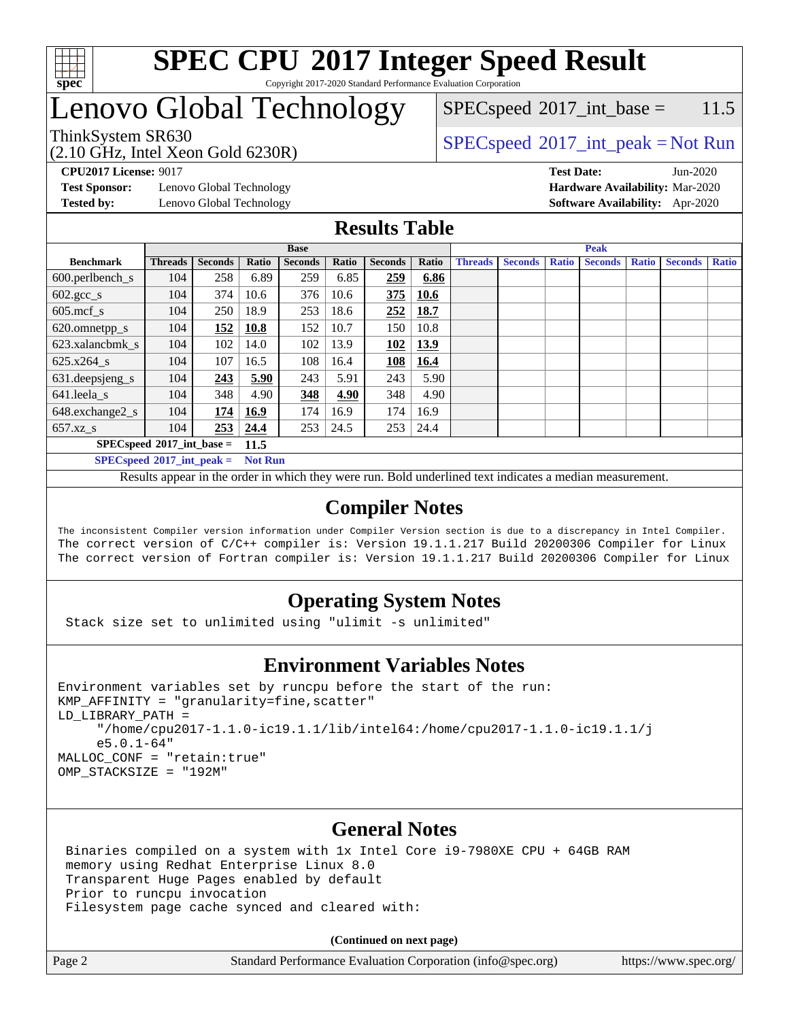

#### **[SPEC CPU](http://www.spec.org/auto/cpu2017/Docs/result-fields.html#SPECCPU2017IntegerSpeedResult)[2017 Integer Speed Result](http://www.spec.org/auto/cpu2017/Docs/result-fields.html#SPECCPU2017IntegerSpeedResult)** Copyright 2017-2020 Standard Performance Evaluation Corporation

### Lenovo Global Technology

 $SPECspeed^{\circ}2017\_int\_base = 11.5$  $SPECspeed^{\circ}2017\_int\_base = 11.5$ 

### ThinkSystem SR630<br>  $SPEC speed^{\circ}2017\_int\_peak = Not Run$

**[Test Sponsor:](http://www.spec.org/auto/cpu2017/Docs/result-fields.html#TestSponsor)** Lenovo Global Technology **[Hardware Availability:](http://www.spec.org/auto/cpu2017/Docs/result-fields.html#HardwareAvailability)** Mar-2020

(2.10 GHz, Intel Xeon Gold 6230R)

**[CPU2017 License:](http://www.spec.org/auto/cpu2017/Docs/result-fields.html#CPU2017License)** 9017 **[Test Date:](http://www.spec.org/auto/cpu2017/Docs/result-fields.html#TestDate)** Jun-2020 **[Tested by:](http://www.spec.org/auto/cpu2017/Docs/result-fields.html#Testedby)** Lenovo Global Technology **[Software Availability:](http://www.spec.org/auto/cpu2017/Docs/result-fields.html#SoftwareAvailability)** Apr-2020

### **[Results Table](http://www.spec.org/auto/cpu2017/Docs/result-fields.html#ResultsTable)**

| <b>Base</b>                 |                |       |                |       |                | <b>Peak</b> |                |                |              |                |              |                |              |
|-----------------------------|----------------|-------|----------------|-------|----------------|-------------|----------------|----------------|--------------|----------------|--------------|----------------|--------------|
| <b>Threads</b>              | <b>Seconds</b> | Ratio | <b>Seconds</b> | Ratio | <b>Seconds</b> | Ratio       | <b>Threads</b> | <b>Seconds</b> | <b>Ratio</b> | <b>Seconds</b> | <b>Ratio</b> | <b>Seconds</b> | <b>Ratio</b> |
| 104                         | 258            | 6.89  | 259            | 6.85  | 259            | 6.86        |                |                |              |                |              |                |              |
| 104                         | 374            | 10.6  | 376            | 10.6  | 375            | 10.6        |                |                |              |                |              |                |              |
| 104                         | 250            | 18.9  | 253            | 18.6  | 252            | 18.7        |                |                |              |                |              |                |              |
| 104                         | 152            | 10.8  | 152            | 10.7  | 150            | 10.8        |                |                |              |                |              |                |              |
| 104                         | 102            | 14.0  | 102            | 13.9  | 102            | 13.9        |                |                |              |                |              |                |              |
| 104                         | 107            | 16.5  | 108            | 16.4  | 108            | 16.4        |                |                |              |                |              |                |              |
| 104                         | 243            | 5.90  | 243            | 5.91  | 243            | 5.90        |                |                |              |                |              |                |              |
| 104                         | 348            | 4.90  | 348            | 4.90  | 348            | 4.90        |                |                |              |                |              |                |              |
| 104                         | 174            | 16.9  | 174            | 16.9  | 174            | 16.9        |                |                |              |                |              |                |              |
| 104                         | 253            | 24.4  | 253            | 24.5  | 253            | 24.4        |                |                |              |                |              |                |              |
| $SPECspeed*2017$ int base = |                |       |                |       |                |             |                |                |              |                |              |                |              |
|                             |                |       | 11.5           |       |                |             |                |                |              |                |              |                |              |

**[SPECspeed](http://www.spec.org/auto/cpu2017/Docs/result-fields.html#SPECspeed2017intpeak)[2017\\_int\\_peak =](http://www.spec.org/auto/cpu2017/Docs/result-fields.html#SPECspeed2017intpeak) Not Run**

Results appear in the [order in which they were run.](http://www.spec.org/auto/cpu2017/Docs/result-fields.html#RunOrder) Bold underlined text [indicates a median measurement.](http://www.spec.org/auto/cpu2017/Docs/result-fields.html#Median)

#### **[Compiler Notes](http://www.spec.org/auto/cpu2017/Docs/result-fields.html#CompilerNotes)**

The inconsistent Compiler version information under Compiler Version section is due to a discrepancy in Intel Compiler. The correct version of C/C++ compiler is: Version 19.1.1.217 Build 20200306 Compiler for Linux The correct version of Fortran compiler is: Version 19.1.1.217 Build 20200306 Compiler for Linux

### **[Operating System Notes](http://www.spec.org/auto/cpu2017/Docs/result-fields.html#OperatingSystemNotes)**

Stack size set to unlimited using "ulimit -s unlimited"

### **[Environment Variables Notes](http://www.spec.org/auto/cpu2017/Docs/result-fields.html#EnvironmentVariablesNotes)**

```
Environment variables set by runcpu before the start of the run:
KMP_AFFINITY = "granularity=fine,scatter"
LD_LIBRARY_PATH =
      "/home/cpu2017-1.1.0-ic19.1.1/lib/intel64:/home/cpu2017-1.1.0-ic19.1.1/j
      e5.0.1-64"
MALLOC_CONF = "retain:true"
OMP_STACKSIZE = "192M"
```
### **[General Notes](http://www.spec.org/auto/cpu2017/Docs/result-fields.html#GeneralNotes)**

 Binaries compiled on a system with 1x Intel Core i9-7980XE CPU + 64GB RAM memory using Redhat Enterprise Linux 8.0 Transparent Huge Pages enabled by default Prior to runcpu invocation Filesystem page cache synced and cleared with:

**(Continued on next page)**

Page 2 Standard Performance Evaluation Corporation [\(info@spec.org\)](mailto:info@spec.org) <https://www.spec.org/>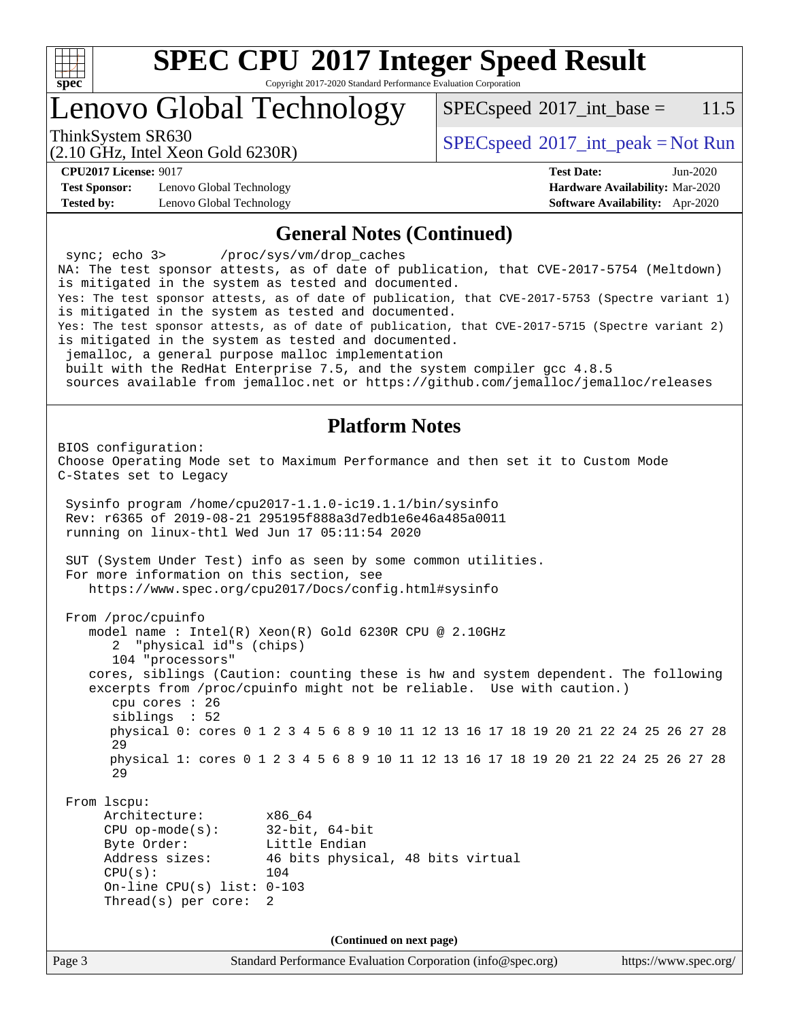

Copyright 2017-2020 Standard Performance Evaluation Corporation

### Lenovo Global Technology

 $SPEC speed^{\circ}2017\_int\_base = 11.5$ 

(2.10 GHz, Intel Xeon Gold 6230R) ThinkSystem SR630<br>  $SPECspeed^{\circ}2017\_int\_peak = Not Run$  $SPECspeed^{\circ}2017\_int\_peak = Not Run$ 

**[Test Sponsor:](http://www.spec.org/auto/cpu2017/Docs/result-fields.html#TestSponsor)** Lenovo Global Technology **[Hardware Availability:](http://www.spec.org/auto/cpu2017/Docs/result-fields.html#HardwareAvailability)** Mar-2020 **[Tested by:](http://www.spec.org/auto/cpu2017/Docs/result-fields.html#Testedby)** Lenovo Global Technology **[Software Availability:](http://www.spec.org/auto/cpu2017/Docs/result-fields.html#SoftwareAvailability)** Apr-2020

**[CPU2017 License:](http://www.spec.org/auto/cpu2017/Docs/result-fields.html#CPU2017License)** 9017 **[Test Date:](http://www.spec.org/auto/cpu2017/Docs/result-fields.html#TestDate)** Jun-2020

#### **[General Notes \(Continued\)](http://www.spec.org/auto/cpu2017/Docs/result-fields.html#GeneralNotes)**

Page 3 Standard Performance Evaluation Corporation [\(info@spec.org\)](mailto:info@spec.org) <https://www.spec.org/> sync; echo 3> /proc/sys/vm/drop\_caches NA: The test sponsor attests, as of date of publication, that CVE-2017-5754 (Meltdown) is mitigated in the system as tested and documented. Yes: The test sponsor attests, as of date of publication, that CVE-2017-5753 (Spectre variant 1) is mitigated in the system as tested and documented. Yes: The test sponsor attests, as of date of publication, that CVE-2017-5715 (Spectre variant 2) is mitigated in the system as tested and documented. jemalloc, a general purpose malloc implementation built with the RedHat Enterprise 7.5, and the system compiler gcc 4.8.5 sources available from jemalloc.net or<https://github.com/jemalloc/jemalloc/releases> **[Platform Notes](http://www.spec.org/auto/cpu2017/Docs/result-fields.html#PlatformNotes)** BIOS configuration: Choose Operating Mode set to Maximum Performance and then set it to Custom Mode C-States set to Legacy Sysinfo program /home/cpu2017-1.1.0-ic19.1.1/bin/sysinfo Rev: r6365 of 2019-08-21 295195f888a3d7edb1e6e46a485a0011 running on linux-thtl Wed Jun 17 05:11:54 2020 SUT (System Under Test) info as seen by some common utilities. For more information on this section, see <https://www.spec.org/cpu2017/Docs/config.html#sysinfo> From /proc/cpuinfo model name : Intel(R) Xeon(R) Gold 6230R CPU @ 2.10GHz 2 "physical id"s (chips) 104 "processors" cores, siblings (Caution: counting these is hw and system dependent. The following excerpts from /proc/cpuinfo might not be reliable. Use with caution.) cpu cores : 26 siblings : 52 physical 0: cores 0 1 2 3 4 5 6 8 9 10 11 12 13 16 17 18 19 20 21 22 24 25 26 27 28 29 physical 1: cores 0 1 2 3 4 5 6 8 9 10 11 12 13 16 17 18 19 20 21 22 24 25 26 27 28 29 From lscpu: Architecture: x86\_64 CPU op-mode(s): 32-bit, 64-bit Byte Order: Little Endian Address sizes: 46 bits physical, 48 bits virtual  $CPU(s):$  104 On-line CPU(s) list: 0-103 Thread(s) per core: 2 **(Continued on next page)**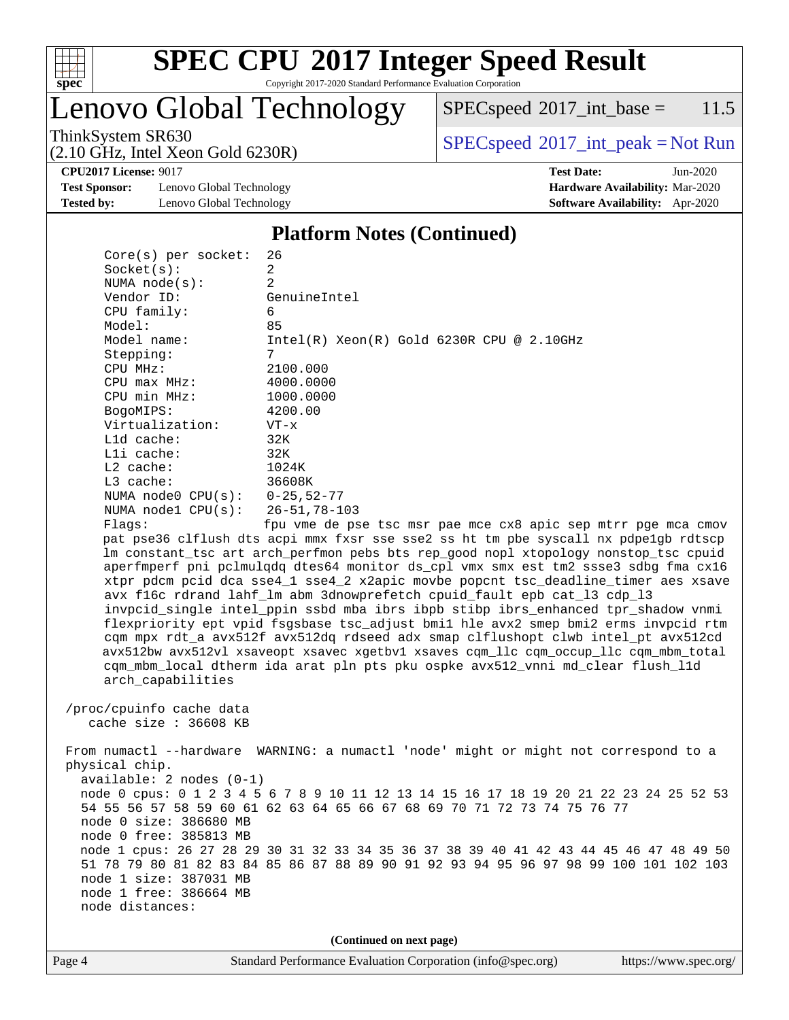

Copyright 2017-2020 Standard Performance Evaluation Corporation

Lenovo Global Technology

 $SPECspeed^{\circ}2017\_int\_base = 11.5$  $SPECspeed^{\circ}2017\_int\_base = 11.5$ 

ThinkSystem SR630<br>  $(2.10 \text{ GHz}_{\text{total}} \text{ Total} 6230\text{P})$  [SPECspeed](http://www.spec.org/auto/cpu2017/Docs/result-fields.html#SPECspeed2017intpeak)<sup>®</sup>[2017\\_int\\_peak = N](http://www.spec.org/auto/cpu2017/Docs/result-fields.html#SPECspeed2017intpeak)ot Run

**[CPU2017 License:](http://www.spec.org/auto/cpu2017/Docs/result-fields.html#CPU2017License)** 9017 **[Test Date:](http://www.spec.org/auto/cpu2017/Docs/result-fields.html#TestDate)** Jun-2020

**[Test Sponsor:](http://www.spec.org/auto/cpu2017/Docs/result-fields.html#TestSponsor)** Lenovo Global Technology **[Hardware Availability:](http://www.spec.org/auto/cpu2017/Docs/result-fields.html#HardwareAvailability)** Mar-2020 **[Tested by:](http://www.spec.org/auto/cpu2017/Docs/result-fields.html#Testedby)** Lenovo Global Technology **[Software Availability:](http://www.spec.org/auto/cpu2017/Docs/result-fields.html#SoftwareAvailability)** Apr-2020

(2.10 GHz, Intel Xeon Gold 6230R)

#### **[Platform Notes \(Continued\)](http://www.spec.org/auto/cpu2017/Docs/result-fields.html#PlatformNotes)**

| $Core(s)$ per socket:                                                            | 26                                                                                     |  |  |  |  |  |
|----------------------------------------------------------------------------------|----------------------------------------------------------------------------------------|--|--|--|--|--|
| Socket(s):                                                                       | $\overline{2}$                                                                         |  |  |  |  |  |
| NUMA node(s):                                                                    | 2                                                                                      |  |  |  |  |  |
| Vendor ID:                                                                       | GenuineIntel                                                                           |  |  |  |  |  |
| CPU family:                                                                      | 6                                                                                      |  |  |  |  |  |
| Model:                                                                           | 85                                                                                     |  |  |  |  |  |
| Model name:                                                                      | $Intel(R)$ Xeon $(R)$ Gold 6230R CPU @ 2.10GHz                                         |  |  |  |  |  |
| Stepping:                                                                        | 7                                                                                      |  |  |  |  |  |
| CPU MHz:                                                                         | 2100.000                                                                               |  |  |  |  |  |
| $CPU$ max $MHz$ :                                                                | 4000.0000                                                                              |  |  |  |  |  |
| CPU min MHz:                                                                     | 1000.0000                                                                              |  |  |  |  |  |
| BogoMIPS:                                                                        | 4200.00                                                                                |  |  |  |  |  |
| Virtualization:                                                                  | $VT - x$                                                                               |  |  |  |  |  |
| $L1d$ cache:                                                                     | 32K                                                                                    |  |  |  |  |  |
| Lli cache:                                                                       | 32K                                                                                    |  |  |  |  |  |
| $L2$ cache:                                                                      | 1024K                                                                                  |  |  |  |  |  |
| $L3$ cache:                                                                      | 36608K                                                                                 |  |  |  |  |  |
| NUMA node0 CPU(s): 0-25,52-77                                                    |                                                                                        |  |  |  |  |  |
| NUMA nodel CPU(s):                                                               | $26 - 51, 78 - 103$                                                                    |  |  |  |  |  |
| Flags:                                                                           | fpu vme de pse tsc msr pae mce cx8 apic sep mtrr pge mca cmov                          |  |  |  |  |  |
|                                                                                  | pat pse36 clflush dts acpi mmx fxsr sse sse2 ss ht tm pbe syscall nx pdpelgb rdtscp    |  |  |  |  |  |
|                                                                                  | lm constant_tsc art arch_perfmon pebs bts rep_good nopl xtopology nonstop_tsc cpuid    |  |  |  |  |  |
|                                                                                  | aperfmperf pni pclmulqdq dtes64 monitor ds_cpl vmx smx est tm2 ssse3 sdbg fma cx16     |  |  |  |  |  |
|                                                                                  | xtpr pdcm pcid dca sse4_1 sse4_2 x2apic movbe popcnt tsc_deadline_timer aes xsave      |  |  |  |  |  |
|                                                                                  | avx f16c rdrand lahf_lm abm 3dnowprefetch cpuid_fault epb cat_13 cdp_13                |  |  |  |  |  |
|                                                                                  | invpcid_single intel_ppin ssbd mba ibrs ibpb stibp ibrs_enhanced tpr_shadow vnmi       |  |  |  |  |  |
|                                                                                  | flexpriority ept vpid fsgsbase tsc_adjust bmil hle avx2 smep bmi2 erms invpcid rtm     |  |  |  |  |  |
| cqm mpx rdt_a avx512f avx512dq rdseed adx smap clflushopt clwb intel_pt avx512cd |                                                                                        |  |  |  |  |  |
|                                                                                  | avx512bw avx512vl xsaveopt xsavec xgetbvl xsaves cqm_llc cqm_occup_llc cqm_mbm_total   |  |  |  |  |  |
|                                                                                  | cqm_mbm_local dtherm ida arat pln pts pku ospke avx512_vnni md_clear flush_l1d         |  |  |  |  |  |
| arch_capabilities                                                                |                                                                                        |  |  |  |  |  |
|                                                                                  |                                                                                        |  |  |  |  |  |
| /proc/cpuinfo cache data                                                         |                                                                                        |  |  |  |  |  |
| cache size : 36608 KB                                                            |                                                                                        |  |  |  |  |  |
|                                                                                  |                                                                                        |  |  |  |  |  |
| physical chip.                                                                   | From numactl --hardware WARNING: a numactl 'node' might or might not correspond to a   |  |  |  |  |  |
| $available: 2 nodes (0-1)$                                                       |                                                                                        |  |  |  |  |  |
|                                                                                  | node 0 cpus: 0 1 2 3 4 5 6 7 8 9 10 11 12 13 14 15 16 17 18 19 20 21 22 23 24 25 52 53 |  |  |  |  |  |
|                                                                                  | 54 55 56 57 58 59 60 61 62 63 64 65 66 67 68 69 70 71 72 73 74 75 76 77                |  |  |  |  |  |
| node 0 size: 386680 MB                                                           |                                                                                        |  |  |  |  |  |
|                                                                                  |                                                                                        |  |  |  |  |  |
| node 0 free: 385813 MB                                                           |                                                                                        |  |  |  |  |  |

 node 1 cpus: 26 27 28 29 30 31 32 33 34 35 36 37 38 39 40 41 42 43 44 45 46 47 48 49 50 51 78 79 80 81 82 83 84 85 86 87 88 89 90 91 92 93 94 95 96 97 98 99 100 101 102 103 node 1 size: 387031 MB node 1 free: 386664 MB

**(Continued on next page)**

node distances: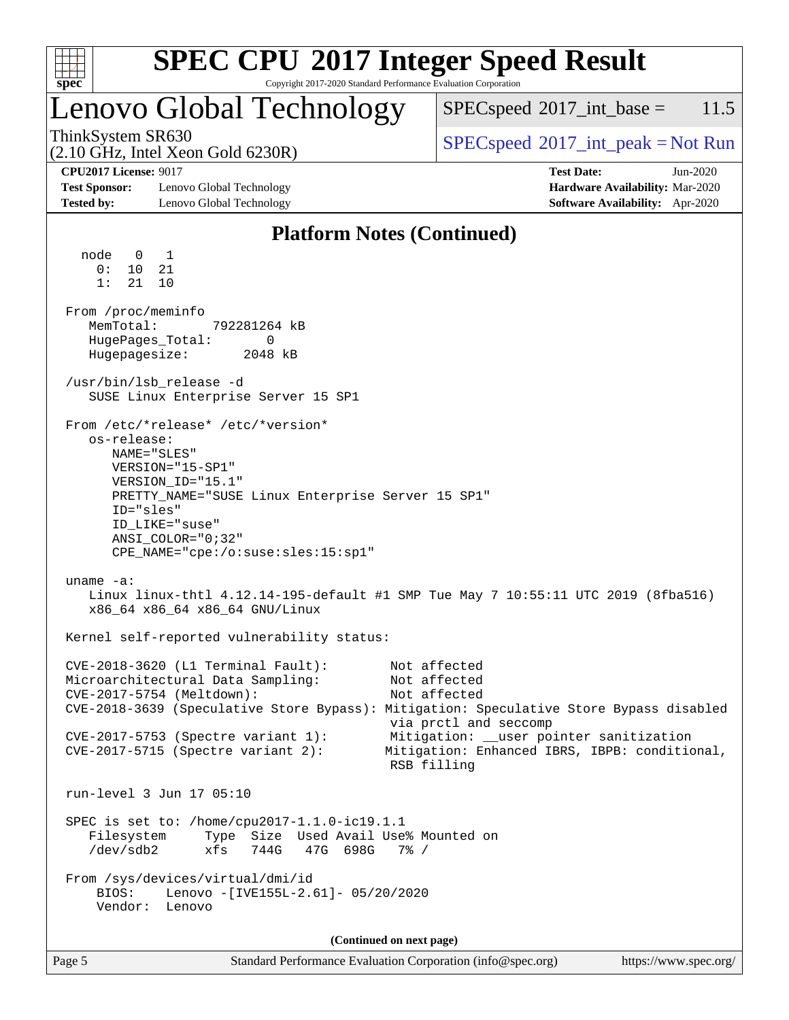| c<br>ť<br>ċ,<br>z |  |  |  |  |  |  |
|-------------------|--|--|--|--|--|--|

Copyright 2017-2020 Standard Performance Evaluation Corporation

### Lenovo Global Technology

 $SPECspeed^{\circ}2017\_int\_base = 11.5$  $SPECspeed^{\circ}2017\_int\_base = 11.5$ 

(2.10 GHz, Intel Xeon Gold 6230R)

ThinkSystem SR630<br>  $SPEC speed^{\circ}2017\_int\_peak = Not Run$ 

**[Test Sponsor:](http://www.spec.org/auto/cpu2017/Docs/result-fields.html#TestSponsor)** Lenovo Global Technology **[Hardware Availability:](http://www.spec.org/auto/cpu2017/Docs/result-fields.html#HardwareAvailability)** Mar-2020 **[Tested by:](http://www.spec.org/auto/cpu2017/Docs/result-fields.html#Testedby)** Lenovo Global Technology **[Software Availability:](http://www.spec.org/auto/cpu2017/Docs/result-fields.html#SoftwareAvailability)** Apr-2020

**[CPU2017 License:](http://www.spec.org/auto/cpu2017/Docs/result-fields.html#CPU2017License)** 9017 **[Test Date:](http://www.spec.org/auto/cpu2017/Docs/result-fields.html#TestDate)** Jun-2020

### **[Platform Notes \(Continued\)](http://www.spec.org/auto/cpu2017/Docs/result-fields.html#PlatformNotes)**

Page 5 Standard Performance Evaluation Corporation [\(info@spec.org\)](mailto:info@spec.org) <https://www.spec.org/> node 0 1 0: 10 21 1: 21 10 From /proc/meminfo MemTotal: 792281264 kB HugePages\_Total: 0<br>Hugepagesize: 2048 kB Hugepagesize: /usr/bin/lsb\_release -d SUSE Linux Enterprise Server 15 SP1 From /etc/\*release\* /etc/\*version\* os-release: NAME="SLES" VERSION="15-SP1" VERSION\_ID="15.1" PRETTY\_NAME="SUSE Linux Enterprise Server 15 SP1" ID="sles" ID\_LIKE="suse" ANSI\_COLOR="0;32" CPE\_NAME="cpe:/o:suse:sles:15:sp1" uname -a: Linux linux-thtl 4.12.14-195-default #1 SMP Tue May 7 10:55:11 UTC 2019 (8fba516) x86\_64 x86\_64 x86\_64 GNU/Linux Kernel self-reported vulnerability status: CVE-2018-3620 (L1 Terminal Fault): Not affected Microarchitectural Data Sampling: CVE-2017-5754 (Meltdown): Not affected CVE-2018-3639 (Speculative Store Bypass): Mitigation: Speculative Store Bypass disabled via prctl and seccomp CVE-2017-5753 (Spectre variant 1): Mitigation: \_\_user pointer sanitization CVE-2017-5715 (Spectre variant 2): Mitigation: Enhanced IBRS, IBPB: conditional, RSB filling run-level 3 Jun 17 05:10 SPEC is set to: /home/cpu2017-1.1.0-ic19.1.1 Filesystem Type Size Used Avail Use% Mounted on /dev/sdb2 xfs 744G 47G 698G 7% / From /sys/devices/virtual/dmi/id BIOS: Lenovo -[IVE155L-2.61]- 05/20/2020 Vendor: Lenovo **(Continued on next page)**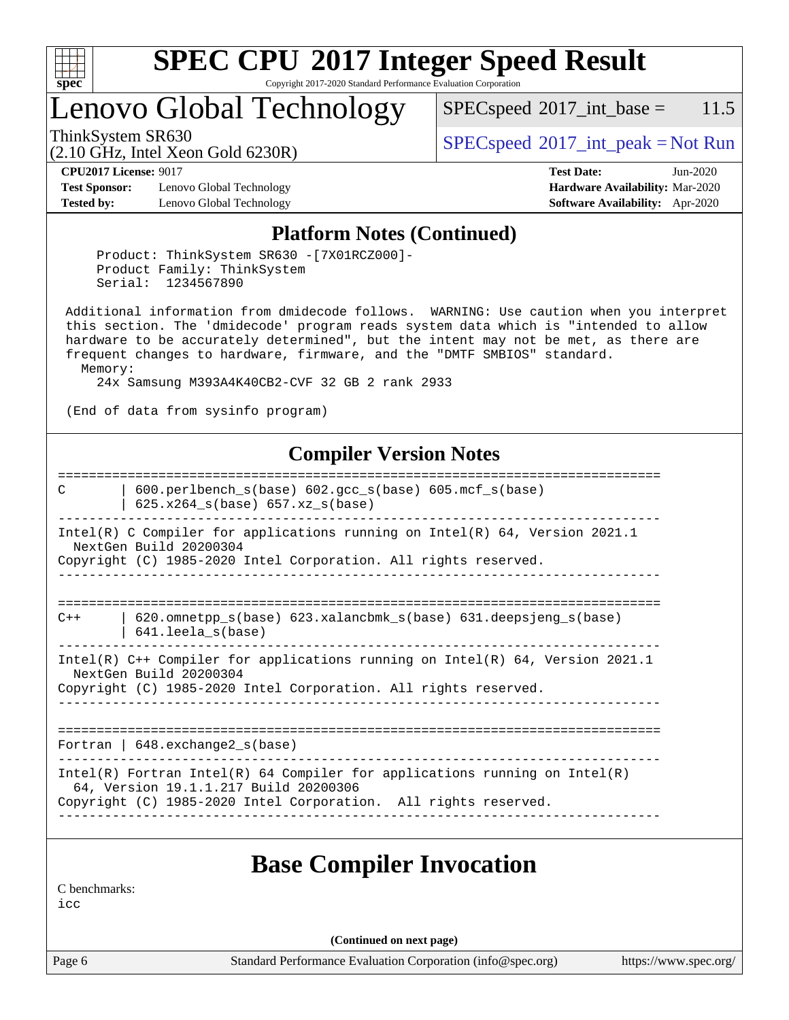

Copyright 2017-2020 Standard Performance Evaluation Corporation

## Lenovo Global Technology

 $SPECspeed^{\circ}2017\_int\_base = 11.5$  $SPECspeed^{\circ}2017\_int\_base = 11.5$ 

(2.10 GHz, Intel Xeon Gold 6230R)

ThinkSystem SR630<br>  $SPECspeed^{\circ}2017\_int\_peak = Not Run$  $SPECspeed^{\circ}2017\_int\_peak = Not Run$ 

**[CPU2017 License:](http://www.spec.org/auto/cpu2017/Docs/result-fields.html#CPU2017License)** 9017 **[Test Date:](http://www.spec.org/auto/cpu2017/Docs/result-fields.html#TestDate)** Jun-2020

**[Test Sponsor:](http://www.spec.org/auto/cpu2017/Docs/result-fields.html#TestSponsor)** Lenovo Global Technology **[Hardware Availability:](http://www.spec.org/auto/cpu2017/Docs/result-fields.html#HardwareAvailability)** Mar-2020 **[Tested by:](http://www.spec.org/auto/cpu2017/Docs/result-fields.html#Testedby)** Lenovo Global Technology **[Software Availability:](http://www.spec.org/auto/cpu2017/Docs/result-fields.html#SoftwareAvailability)** Apr-2020

### **[Platform Notes \(Continued\)](http://www.spec.org/auto/cpu2017/Docs/result-fields.html#PlatformNotes)**

 Product: ThinkSystem SR630 -[7X01RCZ000]- Product Family: ThinkSystem Serial: 1234567890

 Additional information from dmidecode follows. WARNING: Use caution when you interpret this section. The 'dmidecode' program reads system data which is "intended to allow hardware to be accurately determined", but the intent may not be met, as there are frequent changes to hardware, firmware, and the "DMTF SMBIOS" standard. Memory:

24x Samsung M393A4K40CB2-CVF 32 GB 2 rank 2933

(End of data from sysinfo program)

#### **[Compiler Version Notes](http://www.spec.org/auto/cpu2017/Docs/result-fields.html#CompilerVersionNotes)**

============================================================================== C | 600.perlbench\_s(base) 602.gcc\_s(base) 605.mcf\_s(base) | 625.x264\_s(base) 657.xz\_s(base) ------------------------------------------------------------------------------ Intel(R) C Compiler for applications running on Intel(R) 64, Version 2021.1 NextGen Build 20200304 Copyright (C) 1985-2020 Intel Corporation. All rights reserved. ------------------------------------------------------------------------------ ============================================================================== C++ | 620.omnetpp\_s(base) 623.xalancbmk\_s(base) 631.deepsjeng\_s(base) | 641.leela\_s(base) ------------------------------------------------------------------------------ Intel(R) C++ Compiler for applications running on Intel(R) 64, Version 2021.1 NextGen Build 20200304 Copyright (C) 1985-2020 Intel Corporation. All rights reserved. ------------------------------------------------------------------------------ ============================================================================== Fortran | 648.exchange2\_s(base) ------------------------------------------------------------------------------ Intel(R) Fortran Intel(R) 64 Compiler for applications running on Intel(R) 64, Version 19.1.1.217 Build 20200306 Copyright (C) 1985-2020 Intel Corporation. All rights reserved. ------------------------------------------------------------------------------ **[Base Compiler Invocation](http://www.spec.org/auto/cpu2017/Docs/result-fields.html#BaseCompilerInvocation)** [C benchmarks](http://www.spec.org/auto/cpu2017/Docs/result-fields.html#Cbenchmarks):

[icc](http://www.spec.org/cpu2017/results/res2020q3/cpu2017-20200622-23160.flags.html#user_CCbase_intel_icc_66fc1ee009f7361af1fbd72ca7dcefbb700085f36577c54f309893dd4ec40d12360134090235512931783d35fd58c0460139e722d5067c5574d8eaf2b3e37e92)

**(Continued on next page)**

Page 6 Standard Performance Evaluation Corporation [\(info@spec.org\)](mailto:info@spec.org) <https://www.spec.org/>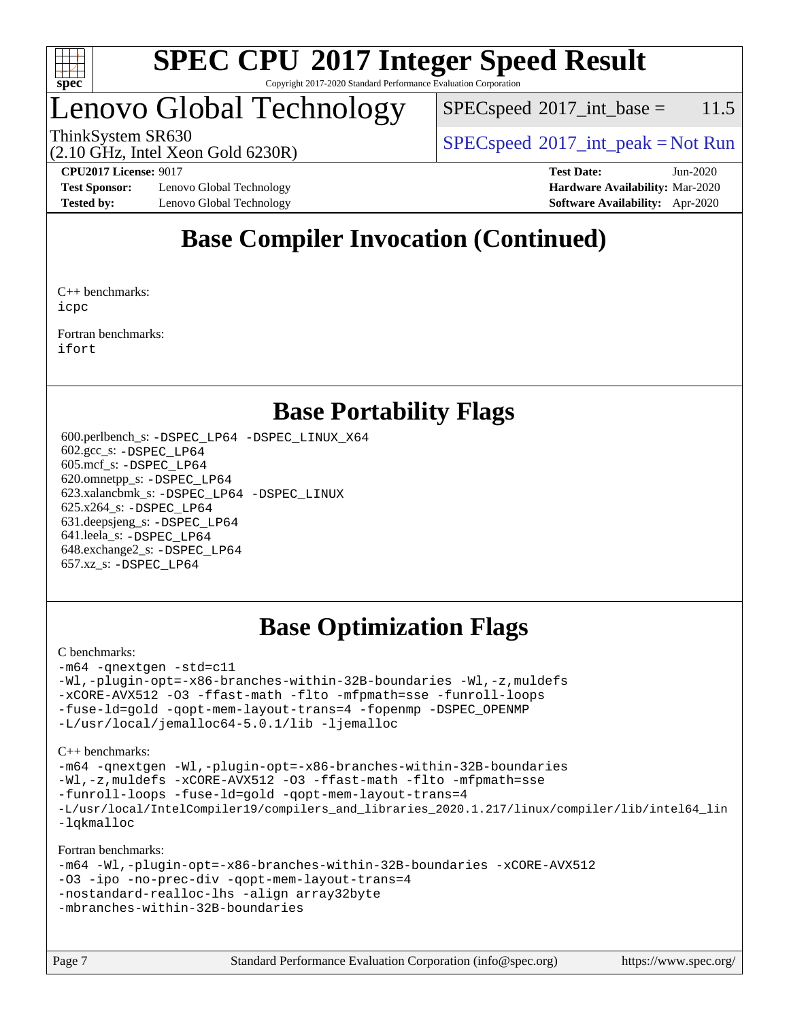

#### **[SPEC CPU](http://www.spec.org/auto/cpu2017/Docs/result-fields.html#SPECCPU2017IntegerSpeedResult)[2017 Integer Speed Result](http://www.spec.org/auto/cpu2017/Docs/result-fields.html#SPECCPU2017IntegerSpeedResult)** Copyright 2017-2020 Standard Performance Evaluation Corporation

### Lenovo Global Technology

 $SPECspeed^{\circ}2017\_int\_base = 11.5$  $SPECspeed^{\circ}2017\_int\_base = 11.5$ 

(2.10 GHz, Intel Xeon Gold 6230R)

ThinkSystem SR630<br>  $SPEC speed^{\circ}2017\_int\_peak = Not Run$ 

**[Test Sponsor:](http://www.spec.org/auto/cpu2017/Docs/result-fields.html#TestSponsor)** Lenovo Global Technology **[Hardware Availability:](http://www.spec.org/auto/cpu2017/Docs/result-fields.html#HardwareAvailability)** Mar-2020 **[Tested by:](http://www.spec.org/auto/cpu2017/Docs/result-fields.html#Testedby)** Lenovo Global Technology **[Software Availability:](http://www.spec.org/auto/cpu2017/Docs/result-fields.html#SoftwareAvailability)** Apr-2020

**[CPU2017 License:](http://www.spec.org/auto/cpu2017/Docs/result-fields.html#CPU2017License)** 9017 **[Test Date:](http://www.spec.org/auto/cpu2017/Docs/result-fields.html#TestDate)** Jun-2020

### **[Base Compiler Invocation \(Continued\)](http://www.spec.org/auto/cpu2017/Docs/result-fields.html#BaseCompilerInvocation)**

[C++ benchmarks](http://www.spec.org/auto/cpu2017/Docs/result-fields.html#CXXbenchmarks): [icpc](http://www.spec.org/cpu2017/results/res2020q3/cpu2017-20200622-23160.flags.html#user_CXXbase_intel_icpc_c510b6838c7f56d33e37e94d029a35b4a7bccf4766a728ee175e80a419847e808290a9b78be685c44ab727ea267ec2f070ec5dc83b407c0218cded6866a35d07)

[Fortran benchmarks:](http://www.spec.org/auto/cpu2017/Docs/result-fields.html#Fortranbenchmarks) [ifort](http://www.spec.org/cpu2017/results/res2020q3/cpu2017-20200622-23160.flags.html#user_FCbase_intel_ifort_8111460550e3ca792625aed983ce982f94888b8b503583aa7ba2b8303487b4d8a21a13e7191a45c5fd58ff318f48f9492884d4413fa793fd88dd292cad7027ca)

### **[Base Portability Flags](http://www.spec.org/auto/cpu2017/Docs/result-fields.html#BasePortabilityFlags)**

 600.perlbench\_s: [-DSPEC\\_LP64](http://www.spec.org/cpu2017/results/res2020q3/cpu2017-20200622-23160.flags.html#b600.perlbench_s_basePORTABILITY_DSPEC_LP64) [-DSPEC\\_LINUX\\_X64](http://www.spec.org/cpu2017/results/res2020q3/cpu2017-20200622-23160.flags.html#b600.perlbench_s_baseCPORTABILITY_DSPEC_LINUX_X64) 602.gcc\_s: [-DSPEC\\_LP64](http://www.spec.org/cpu2017/results/res2020q3/cpu2017-20200622-23160.flags.html#suite_basePORTABILITY602_gcc_s_DSPEC_LP64) 605.mcf\_s: [-DSPEC\\_LP64](http://www.spec.org/cpu2017/results/res2020q3/cpu2017-20200622-23160.flags.html#suite_basePORTABILITY605_mcf_s_DSPEC_LP64) 620.omnetpp\_s: [-DSPEC\\_LP64](http://www.spec.org/cpu2017/results/res2020q3/cpu2017-20200622-23160.flags.html#suite_basePORTABILITY620_omnetpp_s_DSPEC_LP64) 623.xalancbmk\_s: [-DSPEC\\_LP64](http://www.spec.org/cpu2017/results/res2020q3/cpu2017-20200622-23160.flags.html#suite_basePORTABILITY623_xalancbmk_s_DSPEC_LP64) [-DSPEC\\_LINUX](http://www.spec.org/cpu2017/results/res2020q3/cpu2017-20200622-23160.flags.html#b623.xalancbmk_s_baseCXXPORTABILITY_DSPEC_LINUX) 625.x264\_s: [-DSPEC\\_LP64](http://www.spec.org/cpu2017/results/res2020q3/cpu2017-20200622-23160.flags.html#suite_basePORTABILITY625_x264_s_DSPEC_LP64) 631.deepsjeng\_s: [-DSPEC\\_LP64](http://www.spec.org/cpu2017/results/res2020q3/cpu2017-20200622-23160.flags.html#suite_basePORTABILITY631_deepsjeng_s_DSPEC_LP64) 641.leela\_s: [-DSPEC\\_LP64](http://www.spec.org/cpu2017/results/res2020q3/cpu2017-20200622-23160.flags.html#suite_basePORTABILITY641_leela_s_DSPEC_LP64) 648.exchange2\_s: [-DSPEC\\_LP64](http://www.spec.org/cpu2017/results/res2020q3/cpu2017-20200622-23160.flags.html#suite_basePORTABILITY648_exchange2_s_DSPEC_LP64) 657.xz\_s: [-DSPEC\\_LP64](http://www.spec.org/cpu2017/results/res2020q3/cpu2017-20200622-23160.flags.html#suite_basePORTABILITY657_xz_s_DSPEC_LP64)

### **[Base Optimization Flags](http://www.spec.org/auto/cpu2017/Docs/result-fields.html#BaseOptimizationFlags)**

#### [C benchmarks](http://www.spec.org/auto/cpu2017/Docs/result-fields.html#Cbenchmarks):

```
-m64 -qnextgen -std=c11
-Wl,-plugin-opt=-x86-branches-within-32B-boundaries -Wl,-z,muldefs
-xCORE-AVX512 -O3 -ffast-math -flto -mfpmath=sse -funroll-loops
-fuse-ld=gold -qopt-mem-layout-trans=4 -fopenmp -DSPEC_OPENMP
-L/usr/local/jemalloc64-5.0.1/lib -ljemalloc
```
[C++ benchmarks:](http://www.spec.org/auto/cpu2017/Docs/result-fields.html#CXXbenchmarks)

```
-m64 -qnextgen -Wl,-plugin-opt=-x86-branches-within-32B-boundaries
-Wl,-z,muldefs -xCORE-AVX512 -O3 -ffast-math -flto -mfpmath=sse
-funroll-loops -fuse-ld=gold -qopt-mem-layout-trans=4
-L/usr/local/IntelCompiler19/compilers_and_libraries_2020.1.217/linux/compiler/lib/intel64_lin
-lqkmalloc
```
[Fortran benchmarks:](http://www.spec.org/auto/cpu2017/Docs/result-fields.html#Fortranbenchmarks)

```
-m64 -Wl,-plugin-opt=-x86-branches-within-32B-boundaries -xCORE-AVX512
-O3 -ipo -no-prec-div -qopt-mem-layout-trans=4
-nostandard-realloc-lhs -align array32byte
-mbranches-within-32B-boundaries
```